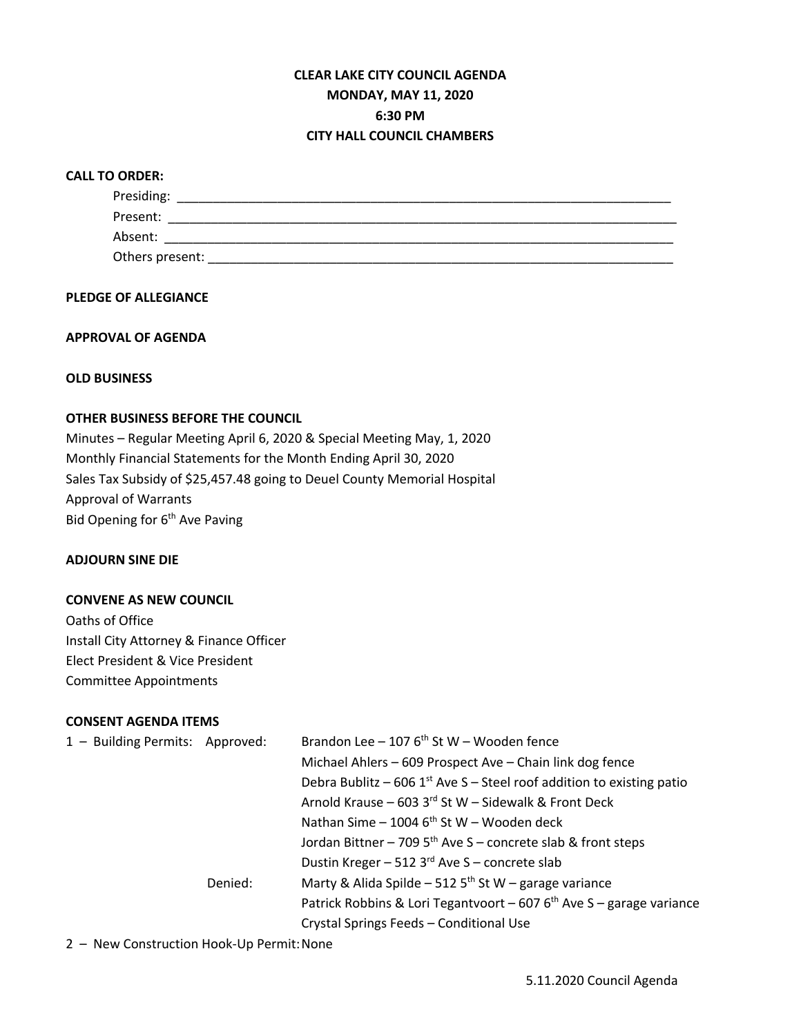# **CLEAR LAKE CITY COUNCIL AGENDA MONDAY, MAY 11, 2020 6:30 PM CITY HALL COUNCIL CHAMBERS**

# **CALL TO ORDER:**

| Presiding:      |  |  |
|-----------------|--|--|
| Present:        |  |  |
| Absent:         |  |  |
| Others present: |  |  |

# **PLEDGE OF ALLEGIANCE**

# **APPROVAL OF AGENDA**

**OLD BUSINESS**

# **OTHER BUSINESS BEFORE THE COUNCIL**

Minutes – Regular Meeting April 6, 2020 & Special Meeting May, 1, 2020 Monthly Financial Statements for the Month Ending April 30, 2020 Sales Tax Subsidy of \$25,457.48 going to Deuel County Memorial Hospital Approval of Warrants Bid Opening for  $6<sup>th</sup>$  Ave Paving

#### **ADJOURN SINE DIE**

### **CONVENE AS NEW COUNCIL**

Oaths of Office Install City Attorney & Finance Officer Elect President & Vice President Committee Appointments

# **CONSENT AGENDA ITEMS**

| 1 - Building Permits: Approved: |         | Brandon Lee - 107 $6th$ St W - Wooden fence                             |  |
|---------------------------------|---------|-------------------------------------------------------------------------|--|
|                                 |         | Michael Ahlers - 609 Prospect Ave - Chain link dog fence                |  |
|                                 |         | Debra Bublitz – 606 $1st$ Ave S – Steel roof addition to existing patio |  |
|                                 |         | Arnold Krause - 603 3rd St W - Sidewalk & Front Deck                    |  |
|                                 |         | Nathan Sime – 1004 $6th$ St W – Wooden deck                             |  |
|                                 |         | Jordan Bittner - 709 $5th$ Ave S - concrete slab & front steps          |  |
|                                 |         | Dustin Kreger - 512 3rd Ave S - concrete slab                           |  |
|                                 | Denied: | Marty & Alida Spilde - 512 $5th$ St W - garage variance                 |  |
|                                 |         | Patrick Robbins & Lori Tegantvoort – 607 $6th$ Ave S – garage variance  |  |
|                                 |         | Crystal Springs Feeds - Conditional Use                                 |  |

2 – New Construction Hook-Up Permit:None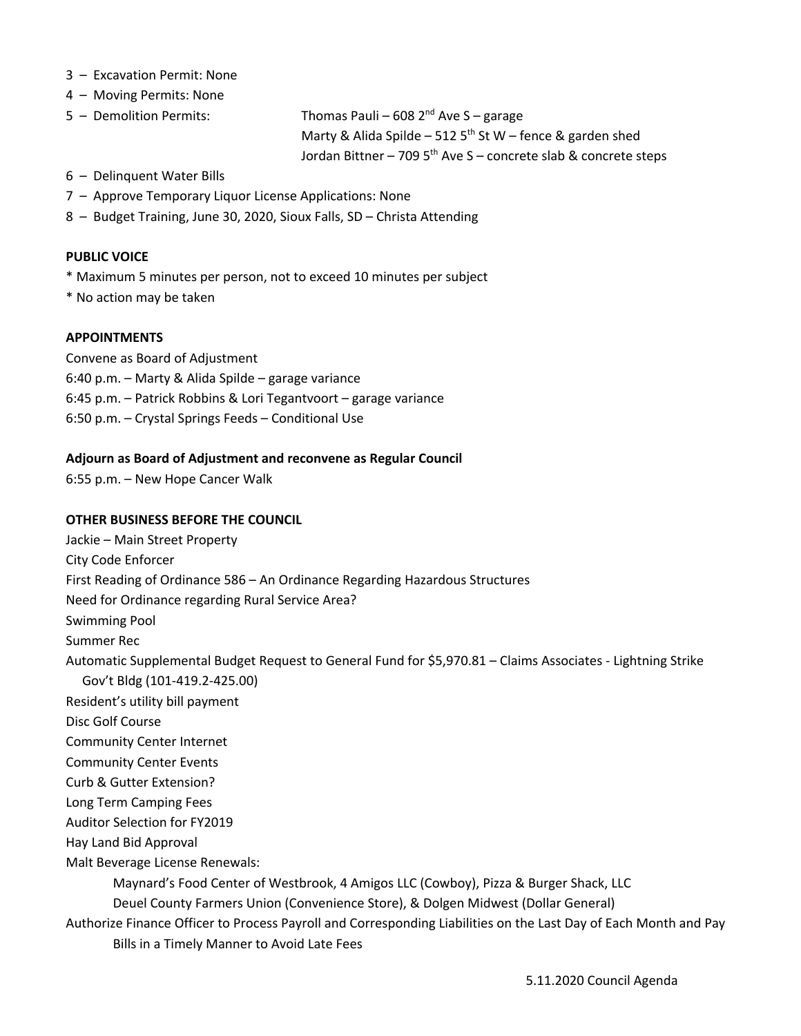- 3 Excavation Permit: None
- 4 Moving Permits: None
- $5 -$  Demolition Permits: Thomas Pauli 608  $2<sup>nd</sup>$  Ave S garage Marty & Alida Spilde – 512 5<sup>th</sup> St W – fence & garden shed Jordan Bittner – 709 5<sup>th</sup> Ave S – concrete slab & concrete steps
- 6 Delinquent Water Bills
- 7 Approve Temporary Liquor License Applications: None
- 8 Budget Training, June 30, 2020, Sioux Falls, SD Christa Attending

#### **PUBLIC VOICE**

- \* Maximum 5 minutes per person, not to exceed 10 minutes per subject
- \* No action may be taken

# **APPOINTMENTS**

Convene as Board of Adjustment 6:40 p.m. – Marty & Alida Spilde – garage variance 6:45 p.m. – Patrick Robbins & Lori Tegantvoort – garage variance 6:50 p.m. – Crystal Springs Feeds – Conditional Use

# **Adjourn as Board of Adjustment and reconvene as Regular Council**

6:55 p.m. – New Hope Cancer Walk

### **OTHER BUSINESS BEFORE THE COUNCIL**

Jackie – Main Street Property City Code Enforcer First Reading of Ordinance 586 – An Ordinance Regarding Hazardous Structures Need for Ordinance regarding Rural Service Area? Swimming Pool Summer Rec Automatic Supplemental Budget Request to General Fund for \$5,970.81 – Claims Associates - Lightning Strike Gov't Bldg (101-419.2-425.00) Resident's utility bill payment Disc Golf Course Community Center Internet Community Center Events Curb & Gutter Extension? Long Term Camping Fees Auditor Selection for FY2019 Hay Land Bid Approval Malt Beverage License Renewals: Maynard's Food Center of Westbrook, 4 Amigos LLC (Cowboy), Pizza & Burger Shack, LLC Deuel County Farmers Union (Convenience Store), & Dolgen Midwest (Dollar General) Authorize Finance Officer to Process Payroll and Corresponding Liabilities on the Last Day of Each Month and Pay

Bills in a Timely Manner to Avoid Late Fees